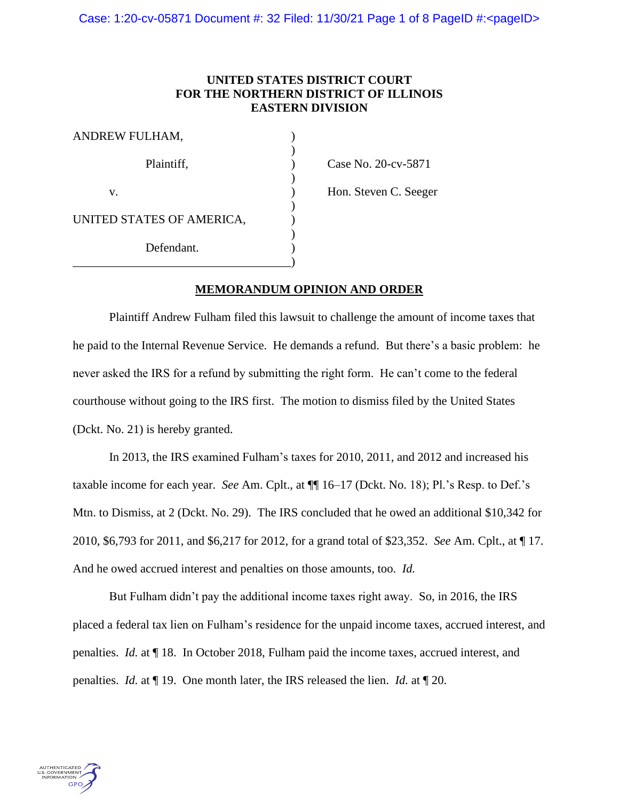## **UNITED STATES DISTRICT COURT FOR THE NORTHERN DISTRICT OF ILLINOIS EASTERN DIVISION**

| ANDREW FULHAM,            |  |
|---------------------------|--|
| Plaintiff,                |  |
| $V_{-}$                   |  |
| UNITED STATES OF AMERICA, |  |
| Defendant.                |  |
|                           |  |

 $\text{Case No. 20-cv-5871}$ 

) Hon. Steven C. Seeger

# **MEMORANDUM OPINION AND ORDER**

Plaintiff Andrew Fulham filed this lawsuit to challenge the amount of income taxes that he paid to the Internal Revenue Service. He demands a refund. But there's a basic problem: he never asked the IRS for a refund by submitting the right form. He can't come to the federal courthouse without going to the IRS first. The motion to dismiss filed by the United States (Dckt. No. 21) is hereby granted.

In 2013, the IRS examined Fulham's taxes for 2010, 2011, and 2012 and increased his taxable income for each year. *See* Am. Cplt., at ¶¶ 16–17 (Dckt. No. 18); Pl.'s Resp. to Def.'s Mtn. to Dismiss, at 2 (Dckt. No. 29). The IRS concluded that he owed an additional \$10,342 for 2010, \$6,793 for 2011, and \$6,217 for 2012, for a grand total of \$23,352. *See* Am. Cplt., at ¶ 17. And he owed accrued interest and penalties on those amounts, too. *Id.*

But Fulham didn't pay the additional income taxes right away. So, in 2016, the IRS placed a federal tax lien on Fulham's residence for the unpaid income taxes, accrued interest, and penalties. *Id.* at ¶ 18. In October 2018, Fulham paid the income taxes, accrued interest, and penalties. *Id.* at ¶ 19. One month later, the IRS released the lien. *Id.* at ¶ 20.

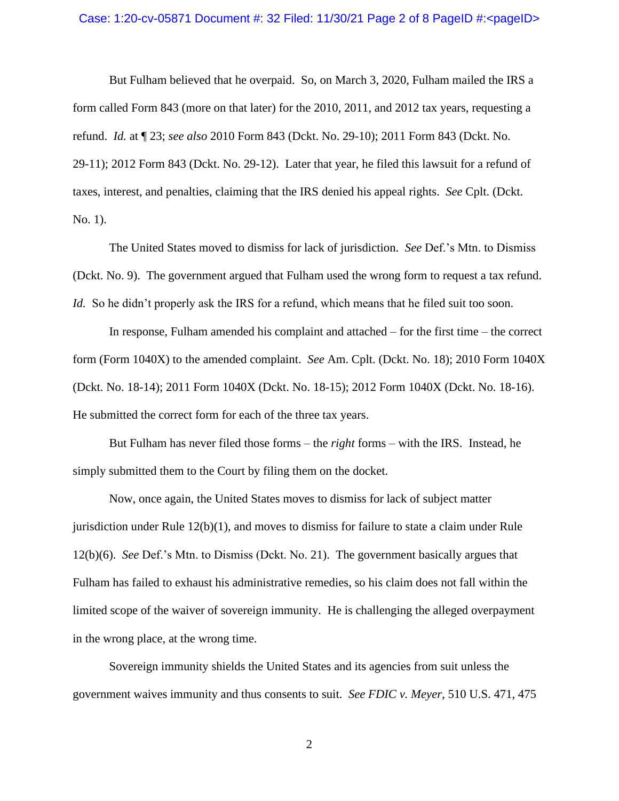### Case: 1:20-cv-05871 Document #: 32 Filed: 11/30/21 Page 2 of 8 PageID #:<pageID>

But Fulham believed that he overpaid. So, on March 3, 2020, Fulham mailed the IRS a form called Form 843 (more on that later) for the 2010, 2011, and 2012 tax years, requesting a refund. *Id.* at ¶ 23; *see also* 2010 Form 843 (Dckt. No. 29-10); 2011 Form 843 (Dckt. No. 29-11); 2012 Form 843 (Dckt. No. 29-12). Later that year, he filed this lawsuit for a refund of taxes, interest, and penalties, claiming that the IRS denied his appeal rights. *See* Cplt. (Dckt. No. 1).

The United States moved to dismiss for lack of jurisdiction. *See* Def.'s Mtn. to Dismiss (Dckt. No. 9). The government argued that Fulham used the wrong form to request a tax refund. *Id.* So he didn't properly ask the IRS for a refund, which means that he filed suit too soon.

In response, Fulham amended his complaint and attached – for the first time – the correct form (Form 1040X) to the amended complaint. *See* Am. Cplt. (Dckt. No. 18); 2010 Form 1040X (Dckt. No. 18-14); 2011 Form 1040X (Dckt. No. 18-15); 2012 Form 1040X (Dckt. No. 18-16). He submitted the correct form for each of the three tax years.

But Fulham has never filed those forms – the *right* forms – with the IRS. Instead, he simply submitted them to the Court by filing them on the docket.

Now, once again, the United States moves to dismiss for lack of subject matter jurisdiction under Rule 12(b)(1), and moves to dismiss for failure to state a claim under Rule 12(b)(6). *See* Def.'s Mtn. to Dismiss (Dckt. No. 21). The government basically argues that Fulham has failed to exhaust his administrative remedies, so his claim does not fall within the limited scope of the waiver of sovereign immunity. He is challenging the alleged overpayment in the wrong place, at the wrong time.

Sovereign immunity shields the United States and its agencies from suit unless the government waives immunity and thus consents to suit. *See FDIC v. Meyer*, 510 U.S. 471, 475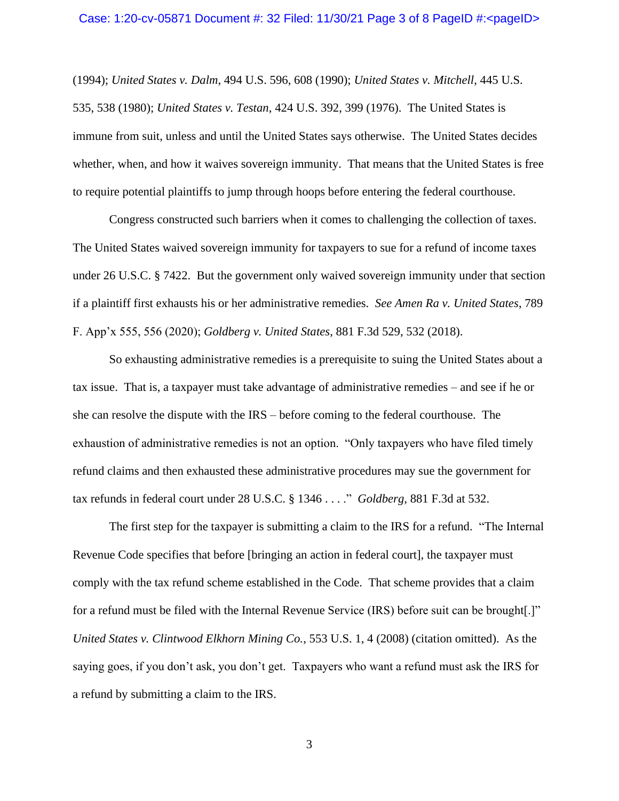#### Case: 1:20-cv-05871 Document #: 32 Filed: 11/30/21 Page 3 of 8 PageID #:<pageID>

(1994); *United States v. Dalm*, 494 U.S. 596, 608 (1990); *United States v. Mitchell*, 445 U.S. 535, 538 (1980); *United States v. Testan*, 424 U.S. 392, 399 (1976). The United States is immune from suit, unless and until the United States says otherwise. The United States decides whether, when, and how it waives sovereign immunity. That means that the United States is free to require potential plaintiffs to jump through hoops before entering the federal courthouse.

Congress constructed such barriers when it comes to challenging the collection of taxes. The United States waived sovereign immunity for taxpayers to sue for a refund of income taxes under 26 U.S.C. § 7422. But the government only waived sovereign immunity under that section if a plaintiff first exhausts his or her administrative remedies. *See Amen Ra v. United States*, 789 F. App'x 555, 556 (2020); *Goldberg v. United States*, 881 F.3d 529, 532 (2018).

So exhausting administrative remedies is a prerequisite to suing the United States about a tax issue. That is, a taxpayer must take advantage of administrative remedies – and see if he or she can resolve the dispute with the IRS – before coming to the federal courthouse. The exhaustion of administrative remedies is not an option. "Only taxpayers who have filed timely refund claims and then exhausted these administrative procedures may sue the government for tax refunds in federal court under 28 U.S.C. § 1346 . . . ." *Goldberg*, 881 F.3d at 532.

The first step for the taxpayer is submitting a claim to the IRS for a refund. "The Internal Revenue Code specifies that before [bringing an action in federal court], the taxpayer must comply with the tax refund scheme established in the Code. That scheme provides that a claim for a refund must be filed with the Internal Revenue Service (IRS) before suit can be brought[.]" *United States v. Clintwood Elkhorn Mining Co.*, 553 U.S. 1, 4 (2008) (citation omitted). As the saying goes, if you don't ask, you don't get. Taxpayers who want a refund must ask the IRS for a refund by submitting a claim to the IRS.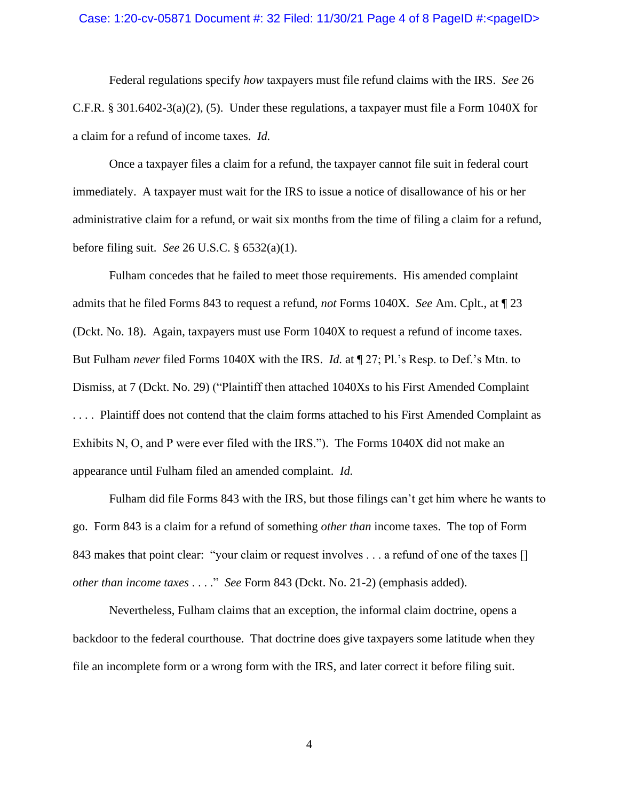### Case: 1:20-cv-05871 Document #: 32 Filed: 11/30/21 Page 4 of 8 PageID #:<pageID>

Federal regulations specify *how* taxpayers must file refund claims with the IRS. *See* 26 C.F.R. § 301.6402-3(a)(2), (5). Under these regulations, a taxpayer must file a Form 1040X for a claim for a refund of income taxes. *Id.*

Once a taxpayer files a claim for a refund, the taxpayer cannot file suit in federal court immediately. A taxpayer must wait for the IRS to issue a notice of disallowance of his or her administrative claim for a refund, or wait six months from the time of filing a claim for a refund, before filing suit. *See* 26 U.S.C. § 6532(a)(1).

Fulham concedes that he failed to meet those requirements. His amended complaint admits that he filed Forms 843 to request a refund, *not* Forms 1040X. *See* Am. Cplt., at ¶ 23 (Dckt. No. 18). Again, taxpayers must use Form 1040X to request a refund of income taxes. But Fulham *never* filed Forms 1040X with the IRS. *Id.* at ¶ 27; Pl.'s Resp. to Def.'s Mtn. to Dismiss, at 7 (Dckt. No. 29) ("Plaintiff then attached 1040Xs to his First Amended Complaint . . . . Plaintiff does not contend that the claim forms attached to his First Amended Complaint as Exhibits N, O, and P were ever filed with the IRS."). The Forms 1040X did not make an appearance until Fulham filed an amended complaint. *Id.*

Fulham did file Forms 843 with the IRS, but those filings can't get him where he wants to go. Form 843 is a claim for a refund of something *other than* income taxes. The top of Form 843 makes that point clear: "your claim or request involves . . . a refund of one of the taxes [] *other than income taxes* . . . ." *See* Form 843 (Dckt. No. 21-2) (emphasis added).

Nevertheless, Fulham claims that an exception, the informal claim doctrine, opens a backdoor to the federal courthouse. That doctrine does give taxpayers some latitude when they file an incomplete form or a wrong form with the IRS, and later correct it before filing suit.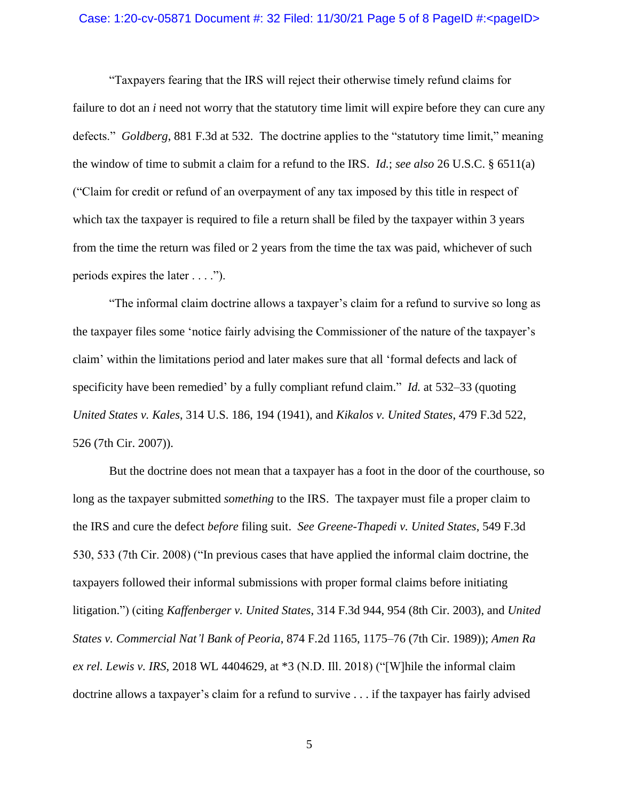### Case: 1:20-cv-05871 Document #: 32 Filed: 11/30/21 Page 5 of 8 PageID #:<pageID>

"Taxpayers fearing that the IRS will reject their otherwise timely refund claims for failure to dot an *i* need not worry that the statutory time limit will expire before they can cure any defects." *Goldberg*, 881 F.3d at 532. The doctrine applies to the "statutory time limit," meaning the window of time to submit a claim for a refund to the IRS. *Id.*; *see also* 26 U.S.C. § 6511(a) ("Claim for credit or refund of an overpayment of any tax imposed by this title in respect of which tax the taxpayer is required to file a return shall be filed by the taxpayer within 3 years from the time the return was filed or 2 years from the time the tax was paid, whichever of such periods expires the later . . . .").

"The informal claim doctrine allows a taxpayer's claim for a refund to survive so long as the taxpayer files some 'notice fairly advising the Commissioner of the nature of the taxpayer's claim' within the limitations period and later makes sure that all 'formal defects and lack of specificity have been remedied' by a fully compliant refund claim." *Id.* at 532–33 (quoting *United States v. Kales*, 314 U.S. 186, 194 (1941), and *Kikalos v. United States*, 479 F.3d 522, 526 (7th Cir. 2007)).

But the doctrine does not mean that a taxpayer has a foot in the door of the courthouse, so long as the taxpayer submitted *something* to the IRS. The taxpayer must file a proper claim to the IRS and cure the defect *before* filing suit. *See Greene-Thapedi v. United States*, 549 F.3d 530, 533 (7th Cir. 2008) ("In previous cases that have applied the informal claim doctrine, the taxpayers followed their informal submissions with proper formal claims before initiating litigation.") (citing *Kaffenberger v. United States*, 314 F.3d 944, 954 (8th Cir. 2003), and *United States v. Commercial Nat'l Bank of Peoria*, 874 F.2d 1165, 1175–76 (7th Cir. 1989)); *Amen Ra ex rel. Lewis v. IRS*, 2018 WL 4404629, at \*3 (N.D. Ill. 2018) ("[W]hile the informal claim doctrine allows a taxpayer's claim for a refund to survive . . . if the taxpayer has fairly advised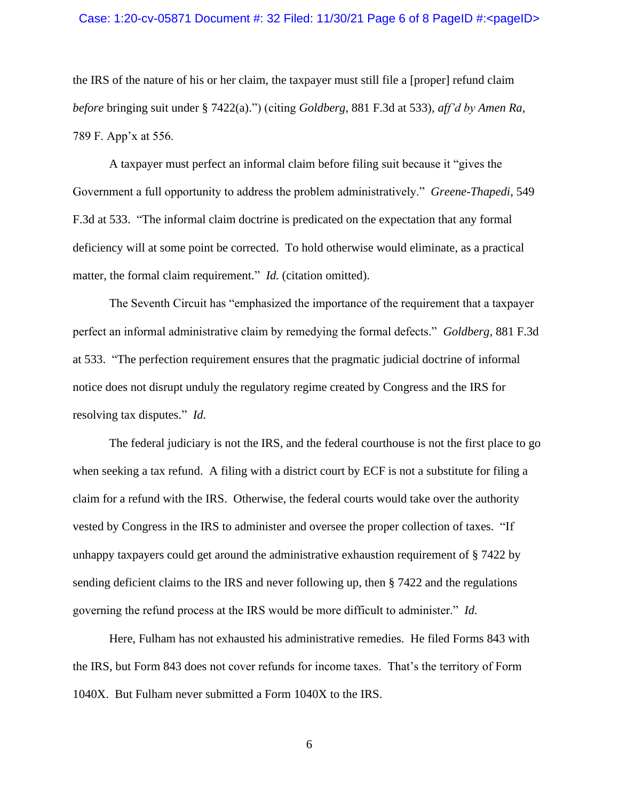### Case: 1:20-cv-05871 Document #: 32 Filed: 11/30/21 Page 6 of 8 PageID #:<pageID>

the IRS of the nature of his or her claim, the taxpayer must still file a [proper] refund claim *before* bringing suit under § 7422(a).") (citing *Goldberg*, 881 F.3d at 533), *aff'd by Amen Ra*, 789 F. App'x at 556.

A taxpayer must perfect an informal claim before filing suit because it "gives the Government a full opportunity to address the problem administratively." *Greene-Thapedi*, 549 F.3d at 533. "The informal claim doctrine is predicated on the expectation that any formal deficiency will at some point be corrected. To hold otherwise would eliminate, as a practical matter, the formal claim requirement." *Id.* (citation omitted).

The Seventh Circuit has "emphasized the importance of the requirement that a taxpayer perfect an informal administrative claim by remedying the formal defects." *Goldberg*, 881 F.3d at 533. "The perfection requirement ensures that the pragmatic judicial doctrine of informal notice does not disrupt unduly the regulatory regime created by Congress and the IRS for resolving tax disputes." *Id.*

The federal judiciary is not the IRS, and the federal courthouse is not the first place to go when seeking a tax refund. A filing with a district court by ECF is not a substitute for filing a claim for a refund with the IRS. Otherwise, the federal courts would take over the authority vested by Congress in the IRS to administer and oversee the proper collection of taxes. "If unhappy taxpayers could get around the administrative exhaustion requirement of § 7422 by sending deficient claims to the IRS and never following up, then § 7422 and the regulations governing the refund process at the IRS would be more difficult to administer." *Id.*

Here, Fulham has not exhausted his administrative remedies. He filed Forms 843 with the IRS, but Form 843 does not cover refunds for income taxes. That's the territory of Form 1040X. But Fulham never submitted a Form 1040X to the IRS.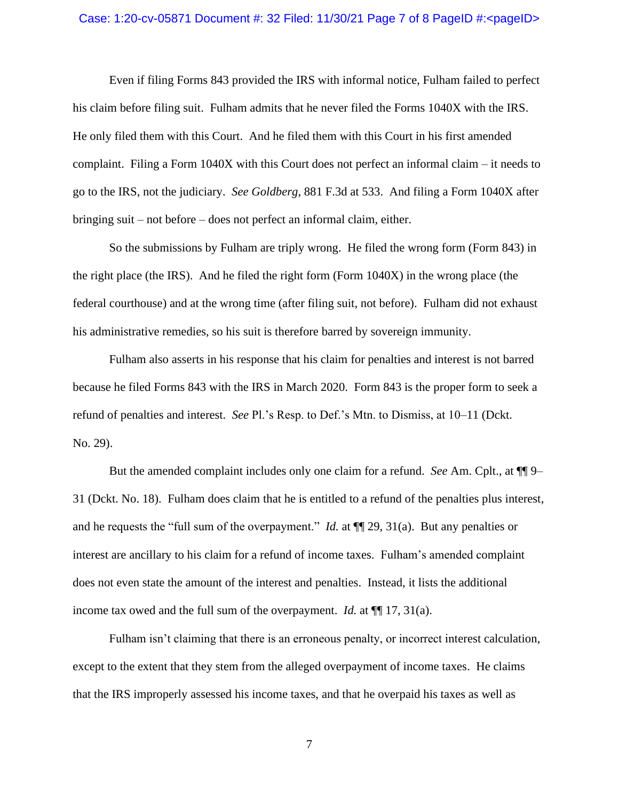### Case: 1:20-cv-05871 Document #: 32 Filed: 11/30/21 Page 7 of 8 PageID #:<pageID>

Even if filing Forms 843 provided the IRS with informal notice, Fulham failed to perfect his claim before filing suit. Fulham admits that he never filed the Forms 1040X with the IRS. He only filed them with this Court. And he filed them with this Court in his first amended complaint. Filing a Form 1040X with this Court does not perfect an informal claim – it needs to go to the IRS, not the judiciary. *See Goldberg*, 881 F.3d at 533. And filing a Form 1040X after bringing suit – not before – does not perfect an informal claim, either.

So the submissions by Fulham are triply wrong. He filed the wrong form (Form 843) in the right place (the IRS). And he filed the right form (Form 1040X) in the wrong place (the federal courthouse) and at the wrong time (after filing suit, not before). Fulham did not exhaust his administrative remedies, so his suit is therefore barred by sovereign immunity.

Fulham also asserts in his response that his claim for penalties and interest is not barred because he filed Forms 843 with the IRS in March 2020. Form 843 is the proper form to seek a refund of penalties and interest. *See* Pl.'s Resp. to Def.'s Mtn. to Dismiss, at 10–11 (Dckt. No. 29).

But the amended complaint includes only one claim for a refund. *See* Am. Cplt., at ¶¶ 9– 31 (Dckt. No. 18). Fulham does claim that he is entitled to a refund of the penalties plus interest, and he requests the "full sum of the overpayment." *Id.* at ¶¶ 29, 31(a). But any penalties or interest are ancillary to his claim for a refund of income taxes. Fulham's amended complaint does not even state the amount of the interest and penalties. Instead, it lists the additional income tax owed and the full sum of the overpayment. *Id.* at ¶¶ 17, 31(a).

Fulham isn't claiming that there is an erroneous penalty, or incorrect interest calculation, except to the extent that they stem from the alleged overpayment of income taxes. He claims that the IRS improperly assessed his income taxes, and that he overpaid his taxes as well as